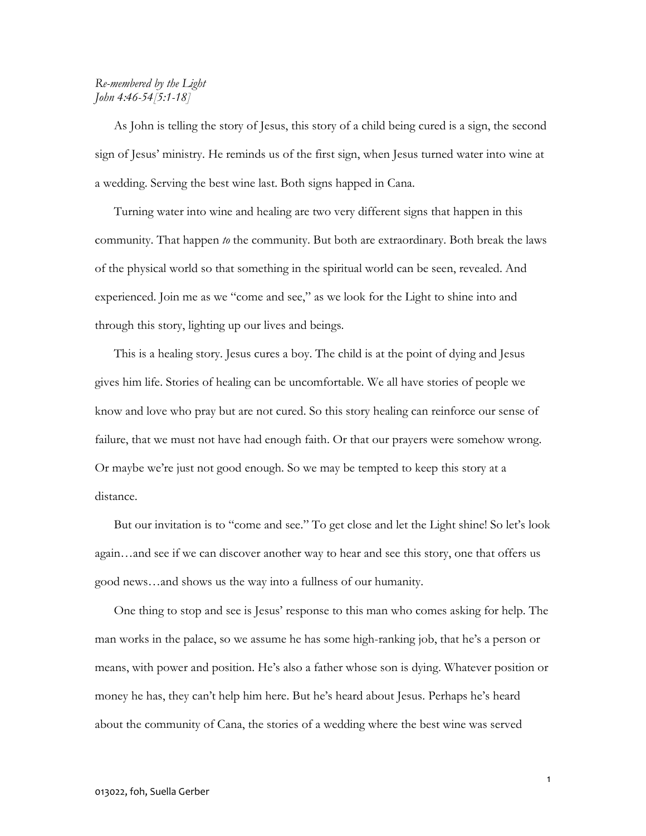## Re-membered by the Light John 4:46-54[5:1-18]

 As John is telling the story of Jesus, this story of a child being cured is a sign, the second sign of Jesus' ministry. He reminds us of the first sign, when Jesus turned water into wine at a wedding. Serving the best wine last. Both signs happed in Cana.

 Turning water into wine and healing are two very different signs that happen in this community. That happen to the community. But both are extraordinary. Both break the laws of the physical world so that something in the spiritual world can be seen, revealed. And experienced. Join me as we "come and see," as we look for the Light to shine into and through this story, lighting up our lives and beings.

 This is a healing story. Jesus cures a boy. The child is at the point of dying and Jesus gives him life. Stories of healing can be uncomfortable. We all have stories of people we know and love who pray but are not cured. So this story healing can reinforce our sense of failure, that we must not have had enough faith. Or that our prayers were somehow wrong. Or maybe we're just not good enough. So we may be tempted to keep this story at a distance.

 But our invitation is to "come and see." To get close and let the Light shine! So let's look again…and see if we can discover another way to hear and see this story, one that offers us good news…and shows us the way into a fullness of our humanity.

 One thing to stop and see is Jesus' response to this man who comes asking for help. The man works in the palace, so we assume he has some high-ranking job, that he's a person or means, with power and position. He's also a father whose son is dying. Whatever position or money he has, they can't help him here. But he's heard about Jesus. Perhaps he's heard about the community of Cana, the stories of a wedding where the best wine was served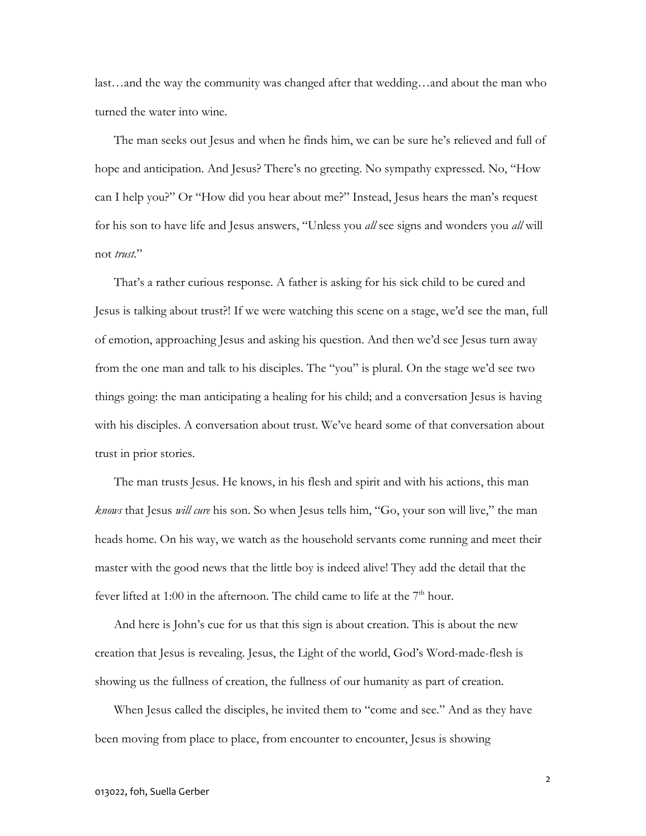last…and the way the community was changed after that wedding…and about the man who turned the water into wine.

 The man seeks out Jesus and when he finds him, we can be sure he's relieved and full of hope and anticipation. And Jesus? There's no greeting. No sympathy expressed. No, "How can I help you?" Or "How did you hear about me?" Instead, Jesus hears the man's request for his son to have life and Jesus answers, "Unless you all see signs and wonders you all will not trust."

 That's a rather curious response. A father is asking for his sick child to be cured and Jesus is talking about trust?! If we were watching this scene on a stage, we'd see the man, full of emotion, approaching Jesus and asking his question. And then we'd see Jesus turn away from the one man and talk to his disciples. The "you" is plural. On the stage we'd see two things going: the man anticipating a healing for his child; and a conversation Jesus is having with his disciples. A conversation about trust. We've heard some of that conversation about trust in prior stories.

 The man trusts Jesus. He knows, in his flesh and spirit and with his actions, this man knows that Jesus will cure his son. So when Jesus tells him, "Go, your son will live," the man heads home. On his way, we watch as the household servants come running and meet their master with the good news that the little boy is indeed alive! They add the detail that the fever lifted at 1:00 in the afternoon. The child came to life at the  $7<sup>th</sup>$  hour.

 And here is John's cue for us that this sign is about creation. This is about the new creation that Jesus is revealing. Jesus, the Light of the world, God's Word-made-flesh is showing us the fullness of creation, the fullness of our humanity as part of creation.

 When Jesus called the disciples, he invited them to "come and see." And as they have been moving from place to place, from encounter to encounter, Jesus is showing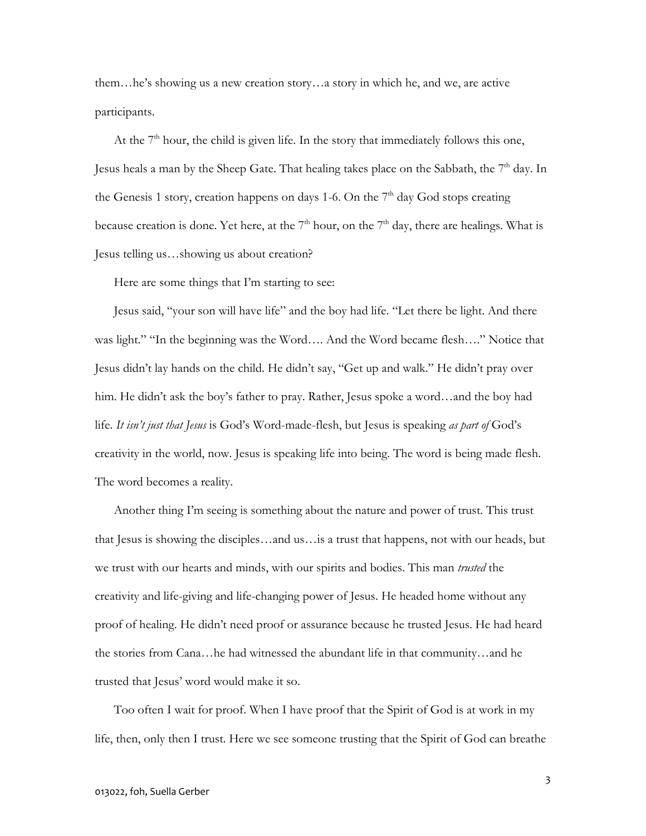them…he's showing us a new creation story…a story in which he, and we, are active participants.

At the  $7<sup>th</sup>$  hour, the child is given life. In the story that immediately follows this one, Jesus heals a man by the Sheep Gate. That healing takes place on the Sabbath, the 7<sup>th</sup> day. In the Genesis 1 story, creation happens on days 1-6. On the  $7<sup>th</sup>$  day God stops creating because creation is done. Yet here, at the  $7<sup>th</sup>$  hour, on the  $7<sup>th</sup>$  day, there are healings. What is Jesus telling us…showing us about creation?

Here are some things that I'm starting to see:

 Jesus said, "your son will have life" and the boy had life. "Let there be light. And there was light." "In the beginning was the Word…. And the Word became flesh…." Notice that Jesus didn't lay hands on the child. He didn't say, "Get up and walk." He didn't pray over him. He didn't ask the boy's father to pray. Rather, Jesus spoke a word...and the boy had life. It isn't just that Jesus is God's Word-made-flesh, but Jesus is speaking as part of God's creativity in the world, now. Jesus is speaking life into being. The word is being made flesh. The word becomes a reality.

 Another thing I'm seeing is something about the nature and power of trust. This trust that Jesus is showing the disciples…and us…is a trust that happens, not with our heads, but we trust with our hearts and minds, with our spirits and bodies. This man *trusted* the creativity and life-giving and life-changing power of Jesus. He headed home without any proof of healing. He didn't need proof or assurance because he trusted Jesus. He had heard the stories from Cana…he had witnessed the abundant life in that community…and he trusted that Jesus' word would make it so.

 Too often I wait for proof. When I have proof that the Spirit of God is at work in my life, then, only then I trust. Here we see someone trusting that the Spirit of God can breathe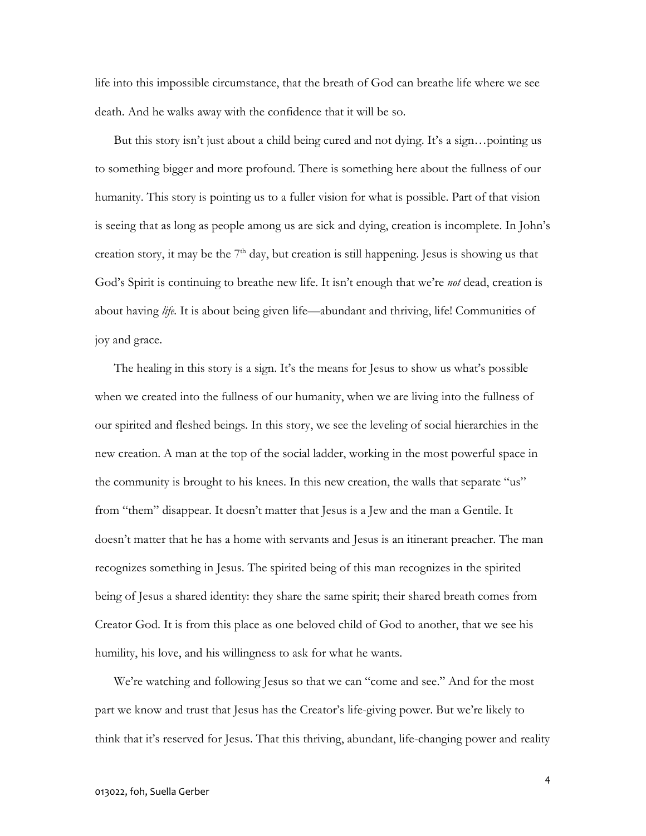life into this impossible circumstance, that the breath of God can breathe life where we see death. And he walks away with the confidence that it will be so.

 But this story isn't just about a child being cured and not dying. It's a sign…pointing us to something bigger and more profound. There is something here about the fullness of our humanity. This story is pointing us to a fuller vision for what is possible. Part of that vision is seeing that as long as people among us are sick and dying, creation is incomplete. In John's creation story, it may be the  $7<sup>th</sup>$  day, but creation is still happening. Jesus is showing us that God's Spirit is continuing to breathe new life. It isn't enough that we're *not* dead, creation is about having *life*. It is about being given life—abundant and thriving, life! Communities of joy and grace.

 The healing in this story is a sign. It's the means for Jesus to show us what's possible when we created into the fullness of our humanity, when we are living into the fullness of our spirited and fleshed beings. In this story, we see the leveling of social hierarchies in the new creation. A man at the top of the social ladder, working in the most powerful space in the community is brought to his knees. In this new creation, the walls that separate "us" from "them" disappear. It doesn't matter that Jesus is a Jew and the man a Gentile. It doesn't matter that he has a home with servants and Jesus is an itinerant preacher. The man recognizes something in Jesus. The spirited being of this man recognizes in the spirited being of Jesus a shared identity: they share the same spirit; their shared breath comes from Creator God. It is from this place as one beloved child of God to another, that we see his humility, his love, and his willingness to ask for what he wants.

 We're watching and following Jesus so that we can "come and see." And for the most part we know and trust that Jesus has the Creator's life-giving power. But we're likely to think that it's reserved for Jesus. That this thriving, abundant, life-changing power and reality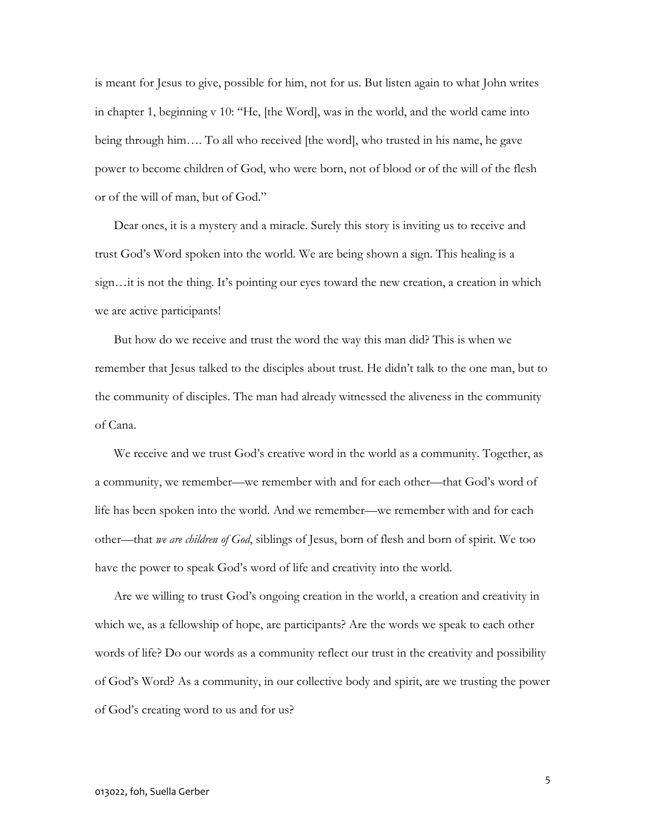is meant for Jesus to give, possible for him, not for us. But listen again to what John writes in chapter 1, beginning v 10: "He, [the Word], was in the world, and the world came into being through him…. To all who received [the word], who trusted in his name, he gave power to become children of God, who were born, not of blood or of the will of the flesh or of the will of man, but of God."

 Dear ones, it is a mystery and a miracle. Surely this story is inviting us to receive and trust God's Word spoken into the world. We are being shown a sign. This healing is a sign…it is not the thing. It's pointing our eyes toward the new creation, a creation in which we are active participants!

 But how do we receive and trust the word the way this man did? This is when we remember that Jesus talked to the disciples about trust. He didn't talk to the one man, but to the community of disciples. The man had already witnessed the aliveness in the community of Cana.

We receive and we trust God's creative word in the world as a community. Together, as a community, we remember—we remember with and for each other—that God's word of life has been spoken into the world. And we remember—we remember with and for each other—that we are children of God, siblings of Jesus, born of flesh and born of spirit. We too have the power to speak God's word of life and creativity into the world.

Are we willing to trust God's ongoing creation in the world, a creation and creativity in which we, as a fellowship of hope, are participants? Are the words we speak to each other words of life? Do our words as a community reflect our trust in the creativity and possibility of God's Word? As a community, in our collective body and spirit, are we trusting the power of God's creating word to us and for us?